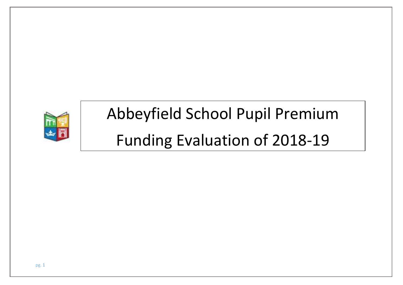

## Abbeyfield School Pupil Premium Funding Evaluation of 2018-19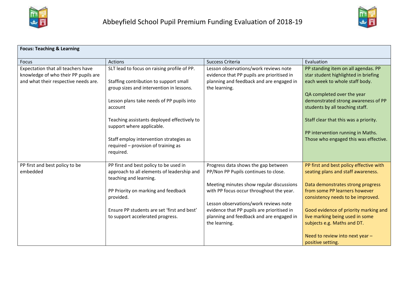



| <b>Focus: Teaching &amp; Learning</b>                                                                              |                                                                                                                                                                                                                                                                                                                                                                      |                                                                                                                                                                                                                                                                                                                         |                                                                                                                                                                                                                                                                                                                                                             |  |
|--------------------------------------------------------------------------------------------------------------------|----------------------------------------------------------------------------------------------------------------------------------------------------------------------------------------------------------------------------------------------------------------------------------------------------------------------------------------------------------------------|-------------------------------------------------------------------------------------------------------------------------------------------------------------------------------------------------------------------------------------------------------------------------------------------------------------------------|-------------------------------------------------------------------------------------------------------------------------------------------------------------------------------------------------------------------------------------------------------------------------------------------------------------------------------------------------------------|--|
| <b>Focus</b>                                                                                                       | <b>Actions</b>                                                                                                                                                                                                                                                                                                                                                       | Success Criteria                                                                                                                                                                                                                                                                                                        | Evaluation                                                                                                                                                                                                                                                                                                                                                  |  |
| Expectation that all teachers have<br>knowledge of who their PP pupils are<br>and what their respective needs are. | SLT lead to focus on raising profile of PP.<br>Staffing contribution to support small<br>group sizes and intervention in lessons.<br>Lesson plans take needs of PP pupils into<br>account<br>Teaching assistants deployed effectively to<br>support where applicable.<br>Staff employ intervention strategies as<br>required - provision of training as<br>required. | Lesson observations/work reviews note<br>evidence that PP pupils are prioritised in<br>planning and feedback and are engaged in<br>the learning.                                                                                                                                                                        | PP standing item on all agendas. PP<br>star student highlighted in briefing<br>each week to whole staff body.<br>QA completed over the year<br>demonstrated strong awareness of PP<br>students by all teaching staff.<br>Staff clear that this was a priority.<br>PP intervention running in Maths.<br>Those who engaged this was effective.                |  |
| PP first and best policy to be<br>embedded                                                                         | PP first and best policy to be used in<br>approach to all elements of leadership and<br>teaching and learning.<br>PP Priority on marking and feedback<br>provided.<br>Ensure PP students are set 'first and best'<br>to support accelerated progress.                                                                                                                | Progress data shows the gap between<br>PP/Non PP Pupils continues to close.<br>Meeting minutes show regular discussions<br>with PP focus occur throughout the year.<br>Lesson observations/work reviews note<br>evidence that PP pupils are prioritised in<br>planning and feedback and are engaged in<br>the learning. | PP first and best policy effective with<br>seating plans and staff awareness.<br>Data demonstrates strong progress<br>from some PP learners however<br>consistency needs to be improved.<br>Good evidence of priority marking and<br>live marking being used in some<br>subjects e.g. Maths and DT.<br>Need to review into next year -<br>positive setting. |  |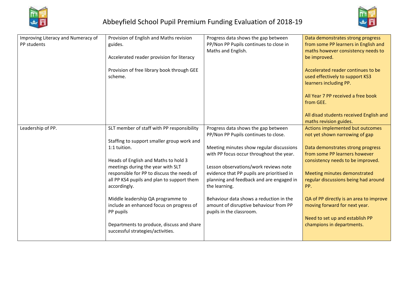



| Improving Literacy and Numeracy of<br>PP students | Provision of English and Maths revision<br>guides.<br>Accelerated reader provision for literacy<br>Provision of free library book through GEE | Progress data shows the gap between<br>PP/Non PP Pupils continues to close in<br>Maths and English.           | Data demonstrates strong progress<br>from some PP learners in English and<br>maths however consistency needs to<br>be improved.<br>Accelerated reader continues to be |
|---------------------------------------------------|-----------------------------------------------------------------------------------------------------------------------------------------------|---------------------------------------------------------------------------------------------------------------|-----------------------------------------------------------------------------------------------------------------------------------------------------------------------|
|                                                   | scheme.                                                                                                                                       |                                                                                                               | used effectively to support KS3<br>learners including PP.                                                                                                             |
|                                                   |                                                                                                                                               |                                                                                                               | All Year 7 PP received a free book<br>from GEE.                                                                                                                       |
|                                                   |                                                                                                                                               |                                                                                                               | All disad students received English and<br>maths revision guides.                                                                                                     |
| Leadership of PP.                                 | SLT member of staff with PP responsibility                                                                                                    | Progress data shows the gap between<br>PP/Non PP Pupils continues to close.                                   | Actions implemented but outcomes<br>not yet shown narrowing of gap                                                                                                    |
|                                                   | Staffing to support smaller group work and                                                                                                    |                                                                                                               |                                                                                                                                                                       |
|                                                   | 1:1 tuition.                                                                                                                                  | Meeting minutes show regular discussions                                                                      | Data demonstrates strong progress                                                                                                                                     |
|                                                   |                                                                                                                                               | with PP focus occur throughout the year.                                                                      | from some PP learners however                                                                                                                                         |
|                                                   | Heads of English and Maths to hold 3                                                                                                          |                                                                                                               | consistency needs to be improved.                                                                                                                                     |
|                                                   | meetings during the year with SLT                                                                                                             | Lesson observations/work reviews note                                                                         |                                                                                                                                                                       |
|                                                   | responsible for PP to discuss the needs of                                                                                                    | evidence that PP pupils are prioritised in                                                                    | Meeting minutes demonstrated                                                                                                                                          |
|                                                   | all PP KS4 pupils and plan to support them<br>accordingly.                                                                                    | planning and feedback and are engaged in<br>the learning.                                                     | regular discussions being had around<br>PP.                                                                                                                           |
|                                                   | Middle leadership QA programme to<br>include an enhanced focus on progress of<br>PP pupils                                                    | Behaviour data shows a reduction in the<br>amount of disruptive behaviour from PP<br>pupils in the classroom. | QA of PP directly is an area to improve<br>moving forward for next year.                                                                                              |
|                                                   | Departments to produce, discuss and share<br>successful strategies/activities.                                                                |                                                                                                               | Need to set up and establish PP<br>champions in departments.                                                                                                          |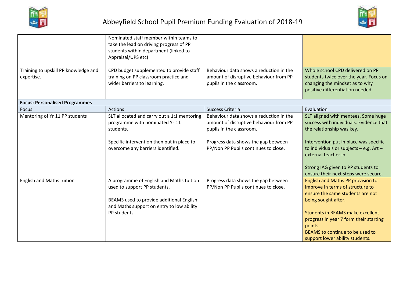



| Training to upskill PP knowledge and<br>expertise. | Nominated staff member within teams to<br>take the lead on driving progress of PP<br>students within department (linked to<br>Appraisal/UPS etc)<br>CPD budget supplemented to provide staff<br>training on PP classroom practice and<br>wider barriers to learning. | Behaviour data shows a reduction in the<br>amount of disruptive behaviour from PP<br>pupils in the classroom.                                                                                | Whole school CPD delivered on PP<br>students twice over the year. Focus on<br>changing the mindset as to why<br>positive differentiation needed.                                                                                                                                                       |
|----------------------------------------------------|----------------------------------------------------------------------------------------------------------------------------------------------------------------------------------------------------------------------------------------------------------------------|----------------------------------------------------------------------------------------------------------------------------------------------------------------------------------------------|--------------------------------------------------------------------------------------------------------------------------------------------------------------------------------------------------------------------------------------------------------------------------------------------------------|
| <b>Focus: Personalised Programmes</b>              |                                                                                                                                                                                                                                                                      |                                                                                                                                                                                              |                                                                                                                                                                                                                                                                                                        |
| <b>Focus</b>                                       | <b>Actions</b>                                                                                                                                                                                                                                                       | Success Criteria                                                                                                                                                                             | Evaluation                                                                                                                                                                                                                                                                                             |
| Mentoring of Yr 11 PP students                     | SLT allocated and carry out a 1:1 mentoring<br>programme with nominated Yr 11<br>students.<br>Specific intervention then put in place to<br>overcome any barriers identified.                                                                                        | Behaviour data shows a reduction in the<br>amount of disruptive behaviour from PP<br>pupils in the classroom.<br>Progress data shows the gap between<br>PP/Non PP Pupils continues to close. | SLT aligned with mentees. Some huge<br>success with individuals. Evidence that<br>the relationship was key.<br>Intervention put in place was specific<br>to individuals or subjects - e.g. Art -<br>external teacher in.<br>Strong IAG given to PP students to<br>ensure their next steps were secure. |
| <b>English and Maths tuition</b>                   | A programme of English and Maths tuition<br>used to support PP students.<br>BEAMS used to provide additional English<br>and Maths support on entry to low ability<br>PP students.                                                                                    | Progress data shows the gap between<br>PP/Non PP Pupils continues to close.                                                                                                                  | English and Maths PP provision to<br>improve in terms of structure to<br>ensure the same students are not<br>being sought after.<br><b>Students in BEAMS make excellent</b><br>progress in year 7 form their starting<br>points.<br>BEAMS to continue to be used to<br>support lower ability students. |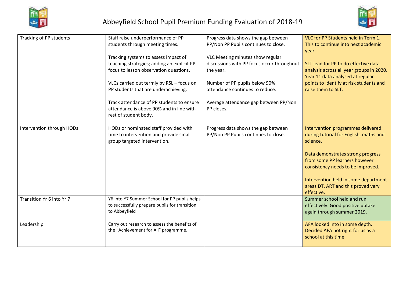



| Tracking of PP students   | Staff raise underperformance of PP                                                    | Progress data shows the gap between                 | VLC for PP Students held in Term 1.      |
|---------------------------|---------------------------------------------------------------------------------------|-----------------------------------------------------|------------------------------------------|
|                           | students through meeting times.                                                       | PP/Non PP Pupils continues to close.                | This to continue into next academic      |
|                           |                                                                                       |                                                     | year.                                    |
|                           | Tracking systems to assess impact of                                                  | VLC Meeting minutes show regular                    |                                          |
|                           | teaching strategies; adding an explicit PP                                            | discussions with PP focus occur throughout          | SLT lead for PP to do effective data     |
|                           | focus to lesson observation questions.                                                | the year.                                           | analysis across all year groups in 2020. |
|                           |                                                                                       |                                                     | Year 11 data analysed at regular         |
|                           | VLCs carried out termly by RSL - focus on                                             | Number of PP pupils below 90%                       | points to identify at risk students and  |
|                           | PP students that are underachieving.                                                  | attendance continues to reduce.                     | raise them to SLT.                       |
|                           |                                                                                       |                                                     |                                          |
|                           | Track attendance of PP students to ensure<br>attendance is above 90% and in line with | Average attendance gap between PP/Non<br>PP closes. |                                          |
|                           | rest of student body.                                                                 |                                                     |                                          |
|                           |                                                                                       |                                                     |                                          |
| Intervention through HODs | HODs or nominated staff provided with                                                 | Progress data shows the gap between                 | Intervention programmes delivered        |
|                           | time to intervention and provide small                                                | PP/Non PP Pupils continues to close.                | during tutorial for English, maths and   |
|                           | group targeted intervention.                                                          |                                                     | science.                                 |
|                           |                                                                                       |                                                     |                                          |
|                           |                                                                                       |                                                     | Data demonstrates strong progress        |
|                           |                                                                                       |                                                     | from some PP learners however            |
|                           |                                                                                       |                                                     | consistency needs to be improved.        |
|                           |                                                                                       |                                                     | Intervention held in some department     |
|                           |                                                                                       |                                                     | areas DT, ART and this proved very       |
|                           |                                                                                       |                                                     | effective.                               |
| Transition Yr 6 into Yr 7 | Y6 into Y7 Summer School for PP pupils helps                                          |                                                     | Summer school held and run               |
|                           | to successfully prepare pupils for transition                                         |                                                     | effectively. Good positive uptake        |
|                           | to Abbeyfield                                                                         |                                                     | again through summer 2019.               |
|                           |                                                                                       |                                                     |                                          |
| Leadership                | Carry out research to assess the benefits of                                          |                                                     | AFA looked into in some depth.           |
|                           | the "Achievement for All" programme.                                                  |                                                     | Decided AFA not right for us as a        |
|                           |                                                                                       |                                                     | school at this time                      |
|                           |                                                                                       |                                                     |                                          |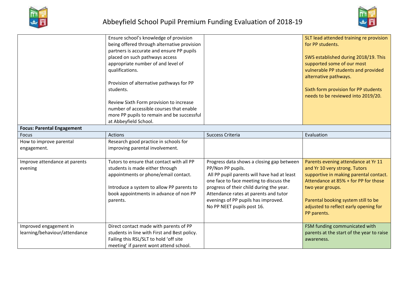



| <b>Focus: Parental Engagement</b>                       | Ensure school's knowledge of provision<br>being offered through alternative provision<br>partners is accurate and ensure PP pupils<br>placed on such pathways access<br>appropriate number of and level of<br>qualifications.<br>Provision of alternative pathways for PP<br>students.<br>Review Sixth Form provision to increase<br>number of accessible courses that enable<br>more PP pupils to remain and be successful<br>at Abbeyfield School. |                                                                                                                                                                                                                                                                                                                    | SLT lead attended training re provision<br>for PP students.<br>SWS established during 2018/19. This<br>supported some of our most<br>vulnerable PP students and provided<br>alternative pathways.<br>Sixth form provision for PP students<br>needs to be reviewed into 2019/20. |
|---------------------------------------------------------|------------------------------------------------------------------------------------------------------------------------------------------------------------------------------------------------------------------------------------------------------------------------------------------------------------------------------------------------------------------------------------------------------------------------------------------------------|--------------------------------------------------------------------------------------------------------------------------------------------------------------------------------------------------------------------------------------------------------------------------------------------------------------------|---------------------------------------------------------------------------------------------------------------------------------------------------------------------------------------------------------------------------------------------------------------------------------|
| <b>Focus</b>                                            | <b>Actions</b>                                                                                                                                                                                                                                                                                                                                                                                                                                       | Success Criteria                                                                                                                                                                                                                                                                                                   | Evaluation                                                                                                                                                                                                                                                                      |
| How to improve parental<br>engagement.                  | Research good practice in schools for<br>improving parental involvement.                                                                                                                                                                                                                                                                                                                                                                             |                                                                                                                                                                                                                                                                                                                    |                                                                                                                                                                                                                                                                                 |
| Improve attendance at parents<br>evening                | Tutors to ensure that contact with all PP<br>students is made either through<br>appointments or phone/email contact.<br>Introduce a system to allow PP parents to<br>book appointments in advance of non PP<br>parents.                                                                                                                                                                                                                              | Progress data shows a closing gap between<br>PP/Non PP pupils.<br>All PP pupil parents will have had at least<br>one face to face meeting to discuss the<br>progress of their child during the year.<br>Attendance rates at parents and tutor<br>evenings of PP pupils has improved.<br>No PP NEET pupils post 16. | Parents evening attendance at Yr 11<br>and Yr 10 very strong. Tutors<br>supportive in making parental contact.<br>Attendance at 85% + for PP for those<br>two year groups.<br>Parental booking system still to be<br>adjusted to reflect early opening for<br>PP parents.       |
| Improved engagement in<br>learning/behaviour/attendance | Direct contact made with parents of PP<br>students in line with First and Best policy.<br>Failing this RSL/SLT to hold 'off site<br>meeting' if parent wont attend school.                                                                                                                                                                                                                                                                           |                                                                                                                                                                                                                                                                                                                    | FSM funding communicated with<br>parents at the start of the year to raise<br>awareness.                                                                                                                                                                                        |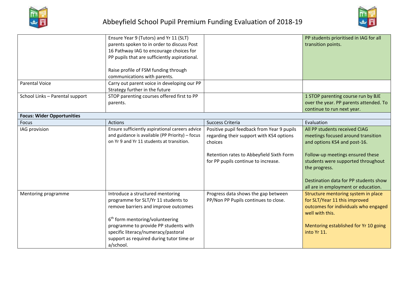



|                                   | Ensure Year 9 (Tutors) and Yr 11 (SLT)<br>parents spoken to in order to discuss Post<br>16 Pathway IAG to encourage choices for<br>PP pupils that are sufficiently aspirational.<br>Raise profile of FSM funding through<br>communications with parents.                                                |                                                                                                                                                                                      | PP students prioritised in IAG for all<br>transition points.                                                                                                                                                                                                                   |
|-----------------------------------|---------------------------------------------------------------------------------------------------------------------------------------------------------------------------------------------------------------------------------------------------------------------------------------------------------|--------------------------------------------------------------------------------------------------------------------------------------------------------------------------------------|--------------------------------------------------------------------------------------------------------------------------------------------------------------------------------------------------------------------------------------------------------------------------------|
| <b>Parental Voice</b>             | Carry out parent voice in developing our PP<br>Strategy further in the future                                                                                                                                                                                                                           |                                                                                                                                                                                      |                                                                                                                                                                                                                                                                                |
| School Links - Parental support   | STOP parenting courses offered first to PP<br>parents.                                                                                                                                                                                                                                                  |                                                                                                                                                                                      | 1 STOP parenting course run by BJE<br>over the year. PP parents attended. To<br>continue to run next year.                                                                                                                                                                     |
| <b>Focus: Wider Opportunities</b> |                                                                                                                                                                                                                                                                                                         |                                                                                                                                                                                      |                                                                                                                                                                                                                                                                                |
| Focus                             | Actions                                                                                                                                                                                                                                                                                                 | Success Criteria                                                                                                                                                                     | Evaluation                                                                                                                                                                                                                                                                     |
| IAG provision                     | Ensure sufficiently aspirational careers advice<br>and guidance is available (PP Priority) - focus<br>on Yr 9 and Yr 11 students at transition.                                                                                                                                                         | Positive pupil feedback from Year 9 pupils<br>regarding their support with KS4 options<br>choices<br>Retention rates to Abbeyfield Sixth Form<br>for PP pupils continue to increase. | All PP students received CIAG<br>meetings focused around transition<br>and options KS4 and post-16.<br>Follow-up meetings ensured these<br>students were supported throughout<br>the progress.<br>Destination data for PP students show<br>all are in employment or education. |
| Mentoring programme               | Introduce a structured mentoring<br>programme for SLT/Yr 11 students to<br>remove barriers and improve outcomes<br>6 <sup>th</sup> form mentoring/volunteering<br>programme to provide PP students with<br>specific literacy/numeracy/pastoral<br>support as required during tutor time or<br>a/school. | Progress data shows the gap between<br>PP/Non PP Pupils continues to close.                                                                                                          | Structure mentoring system in place<br>for SLT/Year 11 this improved<br>outcomes for individuals who engaged<br>well with this.<br>Mentoring established for Yr 10 going<br>into Yr 11.                                                                                        |